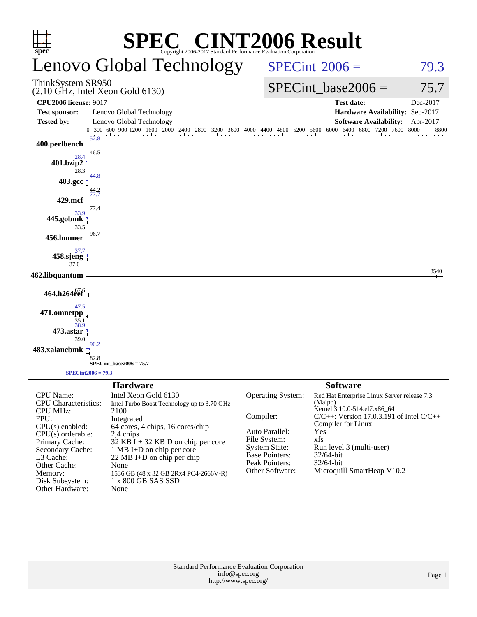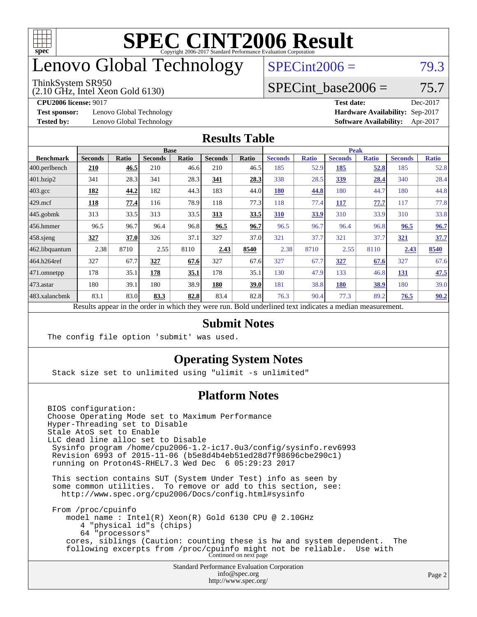

### enovo Global Technology

#### ThinkSystem SR950

(2.10 GHz, Intel Xeon Gold 6130)

 $SPECint2006 = 79.3$  $SPECint2006 = 79.3$ 

#### SPECint base2006 =  $75.7$

**[Test sponsor:](http://www.spec.org/auto/cpu2006/Docs/result-fields.html#Testsponsor)** Lenovo Global Technology **[Hardware Availability:](http://www.spec.org/auto/cpu2006/Docs/result-fields.html#HardwareAvailability)** Sep-2017

**[CPU2006 license:](http://www.spec.org/auto/cpu2006/Docs/result-fields.html#CPU2006license)** 9017 **[Test date:](http://www.spec.org/auto/cpu2006/Docs/result-fields.html#Testdate)** Dec-2017 **[Tested by:](http://www.spec.org/auto/cpu2006/Docs/result-fields.html#Testedby)** Lenovo Global Technology **[Software Availability:](http://www.spec.org/auto/cpu2006/Docs/result-fields.html#SoftwareAvailability)** Apr-2017

#### **[Results Table](http://www.spec.org/auto/cpu2006/Docs/result-fields.html#ResultsTable)**

|                                                                                                          | <b>Base</b>    |              |                |              |                | <b>Peak</b> |                |              |                |              |                |              |
|----------------------------------------------------------------------------------------------------------|----------------|--------------|----------------|--------------|----------------|-------------|----------------|--------------|----------------|--------------|----------------|--------------|
| <b>Benchmark</b>                                                                                         | <b>Seconds</b> | <b>Ratio</b> | <b>Seconds</b> | <b>Ratio</b> | <b>Seconds</b> | Ratio       | <b>Seconds</b> | <b>Ratio</b> | <b>Seconds</b> | <b>Ratio</b> | <b>Seconds</b> | <b>Ratio</b> |
| $ 400$ .perlbench                                                                                        | 210            | 46.5         | 210            | 46.6         | 210            | 46.5        | 185            | 52.9         | 185            | 52.8         | 185            | 52.8         |
| 401.bzip2                                                                                                | 341            | 28.3         | 341            | 28.3         | 341            | 28.3        | 338            | 28.5         | <u>339</u>     | 28.4         | 340            | 28.4         |
| $403.\text{gcc}$                                                                                         | 182            | 44.2         | 182            | 44.3         | 183            | 44.0        | <b>180</b>     | 44.8         | 180            | 44.7         | 180            | 44.8         |
| $429$ .mcf                                                                                               | 118            | 77.4         | 116            | 78.9         | 118            | 77.3        | 118            | 77.4         | 117            | 77.7         | 117            | 77.8         |
| $445$ .gobmk                                                                                             | 313            | 33.5         | 313            | 33.5         | 313            | 33.5        | 310            | 33.9         | 310            | 33.9         | 310            | 33.8         |
| $456.$ hmmer                                                                                             | 96.5           | 96.7         | 96.4           | 96.8         | 96.5           | 96.7        | 96.5           | 96.7         | 96.4           | 96.8         | 96.5           | 96.7         |
| $458$ .sjeng                                                                                             | 327            | 37.0         | 326            | 37.1         | 327            | 37.0        | 321            | 37.7         | 321            | 37.7         | 321            | 37.7         |
| 462.libquantum                                                                                           | 2.38           | 8710         | 2.55           | 8110         | 2.43           | 8540        | 2.38           | 8710         | 2.55           | 8110         | 2.43           | 8540         |
| 464.h264ref                                                                                              | 327            | 67.7         | 327            | 67.6         | 327            | 67.6        | 327            | 67.7         | 327            | 67.6         | 327            | 67.6         |
| 471.omnetpp                                                                                              | 178            | 35.1         | 178            | 35.1         | 178            | 35.1        | 130            | 47.9         | 133            | 46.8         | 131            | 47.5         |
| $473$ . astar                                                                                            | 180            | 39.1         | 180            | 38.9         | 180            | 39.0        | 181            | 38.8         | 180            | 38.9         | 180            | 39.0         |
| 483.xalancbmk                                                                                            | 83.1           | 83.0         | 83.3           | 82.8         | 83.4           | 82.8        | 76.3           | 90.4         | 77.3           | 89.2         | 76.5           | 90.2         |
| Results appear in the order in which they were run. Bold underlined text indicates a median measurement. |                |              |                |              |                |             |                |              |                |              |                |              |

#### **[Submit Notes](http://www.spec.org/auto/cpu2006/Docs/result-fields.html#SubmitNotes)**

The config file option 'submit' was used.

#### **[Operating System Notes](http://www.spec.org/auto/cpu2006/Docs/result-fields.html#OperatingSystemNotes)**

Stack size set to unlimited using "ulimit -s unlimited"

#### **[Platform Notes](http://www.spec.org/auto/cpu2006/Docs/result-fields.html#PlatformNotes)**

Standard Performance Evaluation Corporation [info@spec.org](mailto:info@spec.org) BIOS configuration: Choose Operating Mode set to Maximum Performance Hyper-Threading set to Disable Stale AtoS set to Enable LLC dead line alloc set to Disable Sysinfo program /home/cpu2006-1.2-ic17.0u3/config/sysinfo.rev6993 Revision 6993 of 2015-11-06 (b5e8d4b4eb51ed28d7f98696cbe290c1) running on Proton4S-RHEL7.3 Wed Dec 6 05:29:23 2017 This section contains SUT (System Under Test) info as seen by some common utilities. To remove or add to this section, see: <http://www.spec.org/cpu2006/Docs/config.html#sysinfo> From /proc/cpuinfo model name : Intel(R) Xeon(R) Gold 6130 CPU @ 2.10GHz 4 "physical id"s (chips) 64 "processors" cores, siblings (Caution: counting these is hw and system dependent. The following excerpts from /proc/cpuinfo might not be reliable. Use with Continued on next page

<http://www.spec.org/>

Page 2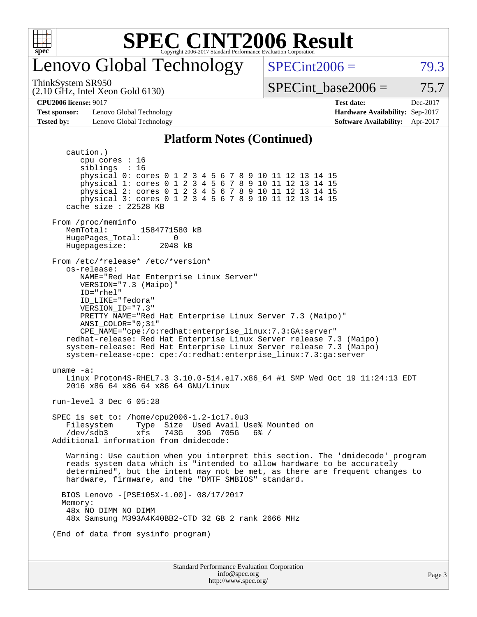

### enovo Global Technology

 $SPECint2006 = 79.3$  $SPECint2006 = 79.3$ 

ThinkSystem SR950

(2.10 GHz, Intel Xeon Gold 6130)

SPECint base2006 =  $75.7$ 

**[Test sponsor:](http://www.spec.org/auto/cpu2006/Docs/result-fields.html#Testsponsor)** Lenovo Global Technology **[Hardware Availability:](http://www.spec.org/auto/cpu2006/Docs/result-fields.html#HardwareAvailability)** Sep-2017 **[Tested by:](http://www.spec.org/auto/cpu2006/Docs/result-fields.html#Testedby)** Lenovo Global Technology **[Software Availability:](http://www.spec.org/auto/cpu2006/Docs/result-fields.html#SoftwareAvailability)** Apr-2017

**[CPU2006 license:](http://www.spec.org/auto/cpu2006/Docs/result-fields.html#CPU2006license)** 9017 **[Test date:](http://www.spec.org/auto/cpu2006/Docs/result-fields.html#Testdate)** Dec-2017

#### **[Platform Notes \(Continued\)](http://www.spec.org/auto/cpu2006/Docs/result-fields.html#PlatformNotes)**

Standard Performance Evaluation Corporation [info@spec.org](mailto:info@spec.org) <http://www.spec.org/> caution.) cpu cores : 16 siblings : 16 physical 0: cores 0 1 2 3 4 5 6 7 8 9 10 11 12 13 14 15 physical 1: cores 0 1 2 3 4 5 6 7 8 9 10 11 12 13 14 15 physical 2: cores 0 1 2 3 4 5 6 7 8 9 10 11 12 13 14 15 physical 3: cores 0 1 2 3 4 5 6 7 8 9 10 11 12 13 14 15 cache size : 22528 KB From /proc/meminfo<br>MemTotal: 1584771580 kB HugePages\_Total: 0 Hugepagesize: 2048 kB From /etc/\*release\* /etc/\*version\* os-release: NAME="Red Hat Enterprise Linux Server" VERSION="7.3 (Maipo)" ID="rhel" ID\_LIKE="fedora" VERSION\_ID="7.3" PRETTY\_NAME="Red Hat Enterprise Linux Server 7.3 (Maipo)" ANSI\_COLOR="0;31" CPE\_NAME="cpe:/o:redhat:enterprise\_linux:7.3:GA:server" redhat-release: Red Hat Enterprise Linux Server release 7.3 (Maipo) system-release: Red Hat Enterprise Linux Server release 7.3 (Maipo) system-release-cpe: cpe:/o:redhat:enterprise\_linux:7.3:ga:server uname -a: Linux Proton4S-RHEL7.3 3.10.0-514.el7.x86\_64 #1 SMP Wed Oct 19 11:24:13 EDT 2016 x86\_64 x86\_64 x86\_64 GNU/Linux run-level 3 Dec 6 05:28 SPEC is set to: /home/cpu2006-1.2-ic17.0u3 Filesystem Type Size Used Avail Use% Mounted on<br>/dev/sdb3 xfs 743G 39G 705G 6% / /dev/sdb3 xfs 743G 39G 705G 6% / Additional information from dmidecode: Warning: Use caution when you interpret this section. The 'dmidecode' program reads system data which is "intended to allow hardware to be accurately determined", but the intent may not be met, as there are frequent changes to hardware, firmware, and the "DMTF SMBIOS" standard. BIOS Lenovo -[PSE105X-1.00]- 08/17/2017 Memory: 48x NO DIMM NO DIMM 48x Samsung M393A4K40BB2-CTD 32 GB 2 rank 2666 MHz (End of data from sysinfo program)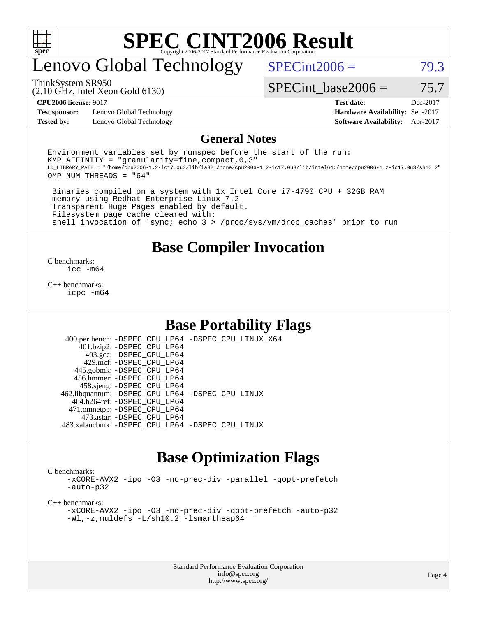

### enovo Global Technology

 $SPECint2006 = 79.3$  $SPECint2006 = 79.3$ 

(2.10 GHz, Intel Xeon Gold 6130) ThinkSystem SR950

SPECint base2006 =  $75.7$ 

**[Test sponsor:](http://www.spec.org/auto/cpu2006/Docs/result-fields.html#Testsponsor)** Lenovo Global Technology **[Hardware Availability:](http://www.spec.org/auto/cpu2006/Docs/result-fields.html#HardwareAvailability)** Sep-2017

**[CPU2006 license:](http://www.spec.org/auto/cpu2006/Docs/result-fields.html#CPU2006license)** 9017 **[Test date:](http://www.spec.org/auto/cpu2006/Docs/result-fields.html#Testdate)** Dec-2017 **[Tested by:](http://www.spec.org/auto/cpu2006/Docs/result-fields.html#Testedby)** Lenovo Global Technology **[Software Availability:](http://www.spec.org/auto/cpu2006/Docs/result-fields.html#SoftwareAvailability)** Apr-2017

#### **[General Notes](http://www.spec.org/auto/cpu2006/Docs/result-fields.html#GeneralNotes)**

Environment variables set by runspec before the start of the run: KMP AFFINITY = "granularity=fine, compact,  $0,3$ " LD\_LIBRARY\_PATH = "/home/cpu2006-1.2-ic17.0u3/lib/ia32:/home/cpu2006-1.2-ic17.0u3/lib/intel64:/home/cpu2006-1.2-ic17.0u3/sh10.2" OMP\_NUM\_THREADS = "64"

 Binaries compiled on a system with 1x Intel Core i7-4790 CPU + 32GB RAM memory using Redhat Enterprise Linux 7.2 Transparent Huge Pages enabled by default. Filesystem page cache cleared with: shell invocation of 'sync; echo 3 > /proc/sys/vm/drop\_caches' prior to run

#### **[Base Compiler Invocation](http://www.spec.org/auto/cpu2006/Docs/result-fields.html#BaseCompilerInvocation)**

[C benchmarks](http://www.spec.org/auto/cpu2006/Docs/result-fields.html#Cbenchmarks): [icc -m64](http://www.spec.org/cpu2006/results/res2017q4/cpu2006-20171211-51042.flags.html#user_CCbase_intel_icc_64bit_bda6cc9af1fdbb0edc3795bac97ada53)

[C++ benchmarks:](http://www.spec.org/auto/cpu2006/Docs/result-fields.html#CXXbenchmarks) [icpc -m64](http://www.spec.org/cpu2006/results/res2017q4/cpu2006-20171211-51042.flags.html#user_CXXbase_intel_icpc_64bit_fc66a5337ce925472a5c54ad6a0de310)

#### **[Base Portability Flags](http://www.spec.org/auto/cpu2006/Docs/result-fields.html#BasePortabilityFlags)**

 400.perlbench: [-DSPEC\\_CPU\\_LP64](http://www.spec.org/cpu2006/results/res2017q4/cpu2006-20171211-51042.flags.html#b400.perlbench_basePORTABILITY_DSPEC_CPU_LP64) [-DSPEC\\_CPU\\_LINUX\\_X64](http://www.spec.org/cpu2006/results/res2017q4/cpu2006-20171211-51042.flags.html#b400.perlbench_baseCPORTABILITY_DSPEC_CPU_LINUX_X64) 401.bzip2: [-DSPEC\\_CPU\\_LP64](http://www.spec.org/cpu2006/results/res2017q4/cpu2006-20171211-51042.flags.html#suite_basePORTABILITY401_bzip2_DSPEC_CPU_LP64) 403.gcc: [-DSPEC\\_CPU\\_LP64](http://www.spec.org/cpu2006/results/res2017q4/cpu2006-20171211-51042.flags.html#suite_basePORTABILITY403_gcc_DSPEC_CPU_LP64) 429.mcf: [-DSPEC\\_CPU\\_LP64](http://www.spec.org/cpu2006/results/res2017q4/cpu2006-20171211-51042.flags.html#suite_basePORTABILITY429_mcf_DSPEC_CPU_LP64) 445.gobmk: [-DSPEC\\_CPU\\_LP64](http://www.spec.org/cpu2006/results/res2017q4/cpu2006-20171211-51042.flags.html#suite_basePORTABILITY445_gobmk_DSPEC_CPU_LP64) 456.hmmer: [-DSPEC\\_CPU\\_LP64](http://www.spec.org/cpu2006/results/res2017q4/cpu2006-20171211-51042.flags.html#suite_basePORTABILITY456_hmmer_DSPEC_CPU_LP64) 458.sjeng: [-DSPEC\\_CPU\\_LP64](http://www.spec.org/cpu2006/results/res2017q4/cpu2006-20171211-51042.flags.html#suite_basePORTABILITY458_sjeng_DSPEC_CPU_LP64) 462.libquantum: [-DSPEC\\_CPU\\_LP64](http://www.spec.org/cpu2006/results/res2017q4/cpu2006-20171211-51042.flags.html#suite_basePORTABILITY462_libquantum_DSPEC_CPU_LP64) [-DSPEC\\_CPU\\_LINUX](http://www.spec.org/cpu2006/results/res2017q4/cpu2006-20171211-51042.flags.html#b462.libquantum_baseCPORTABILITY_DSPEC_CPU_LINUX) 464.h264ref: [-DSPEC\\_CPU\\_LP64](http://www.spec.org/cpu2006/results/res2017q4/cpu2006-20171211-51042.flags.html#suite_basePORTABILITY464_h264ref_DSPEC_CPU_LP64) 471.omnetpp: [-DSPEC\\_CPU\\_LP64](http://www.spec.org/cpu2006/results/res2017q4/cpu2006-20171211-51042.flags.html#suite_basePORTABILITY471_omnetpp_DSPEC_CPU_LP64) 473.astar: [-DSPEC\\_CPU\\_LP64](http://www.spec.org/cpu2006/results/res2017q4/cpu2006-20171211-51042.flags.html#suite_basePORTABILITY473_astar_DSPEC_CPU_LP64) 483.xalancbmk: [-DSPEC\\_CPU\\_LP64](http://www.spec.org/cpu2006/results/res2017q4/cpu2006-20171211-51042.flags.html#suite_basePORTABILITY483_xalancbmk_DSPEC_CPU_LP64) [-DSPEC\\_CPU\\_LINUX](http://www.spec.org/cpu2006/results/res2017q4/cpu2006-20171211-51042.flags.html#b483.xalancbmk_baseCXXPORTABILITY_DSPEC_CPU_LINUX)

### **[Base Optimization Flags](http://www.spec.org/auto/cpu2006/Docs/result-fields.html#BaseOptimizationFlags)**

[C benchmarks](http://www.spec.org/auto/cpu2006/Docs/result-fields.html#Cbenchmarks):

[-xCORE-AVX2](http://www.spec.org/cpu2006/results/res2017q4/cpu2006-20171211-51042.flags.html#user_CCbase_f-xCORE-AVX2) [-ipo](http://www.spec.org/cpu2006/results/res2017q4/cpu2006-20171211-51042.flags.html#user_CCbase_f-ipo) [-O3](http://www.spec.org/cpu2006/results/res2017q4/cpu2006-20171211-51042.flags.html#user_CCbase_f-O3) [-no-prec-div](http://www.spec.org/cpu2006/results/res2017q4/cpu2006-20171211-51042.flags.html#user_CCbase_f-no-prec-div) [-parallel](http://www.spec.org/cpu2006/results/res2017q4/cpu2006-20171211-51042.flags.html#user_CCbase_f-parallel) [-qopt-prefetch](http://www.spec.org/cpu2006/results/res2017q4/cpu2006-20171211-51042.flags.html#user_CCbase_f-qopt-prefetch) [-auto-p32](http://www.spec.org/cpu2006/results/res2017q4/cpu2006-20171211-51042.flags.html#user_CCbase_f-auto-p32)

[C++ benchmarks:](http://www.spec.org/auto/cpu2006/Docs/result-fields.html#CXXbenchmarks)

[-xCORE-AVX2](http://www.spec.org/cpu2006/results/res2017q4/cpu2006-20171211-51042.flags.html#user_CXXbase_f-xCORE-AVX2) [-ipo](http://www.spec.org/cpu2006/results/res2017q4/cpu2006-20171211-51042.flags.html#user_CXXbase_f-ipo) [-O3](http://www.spec.org/cpu2006/results/res2017q4/cpu2006-20171211-51042.flags.html#user_CXXbase_f-O3) [-no-prec-div](http://www.spec.org/cpu2006/results/res2017q4/cpu2006-20171211-51042.flags.html#user_CXXbase_f-no-prec-div) [-qopt-prefetch](http://www.spec.org/cpu2006/results/res2017q4/cpu2006-20171211-51042.flags.html#user_CXXbase_f-qopt-prefetch) [-auto-p32](http://www.spec.org/cpu2006/results/res2017q4/cpu2006-20171211-51042.flags.html#user_CXXbase_f-auto-p32) [-Wl,-z,muldefs](http://www.spec.org/cpu2006/results/res2017q4/cpu2006-20171211-51042.flags.html#user_CXXbase_link_force_multiple1_74079c344b956b9658436fd1b6dd3a8a) [-L/sh10.2 -lsmartheap64](http://www.spec.org/cpu2006/results/res2017q4/cpu2006-20171211-51042.flags.html#user_CXXbase_SmartHeap64_63911d860fc08c15fa1d5bf319b9d8d5)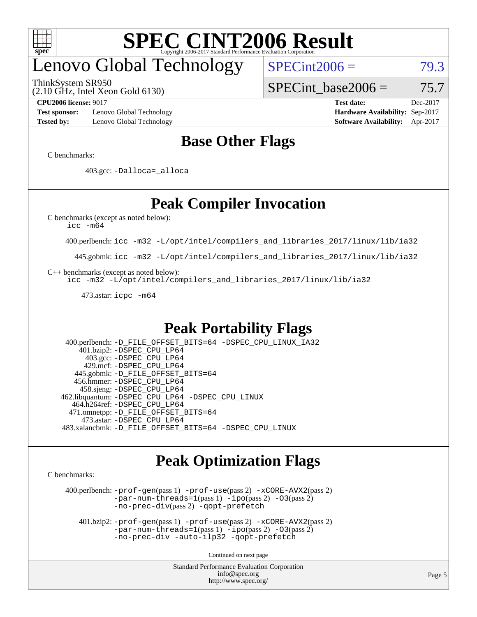

# enovo Global Technology

ThinkSystem SR950

(2.10 GHz, Intel Xeon Gold 6130)

 $SPECint2006 = 79.3$  $SPECint2006 = 79.3$ 

SPECint base2006 =  $75.7$ 

**[Test sponsor:](http://www.spec.org/auto/cpu2006/Docs/result-fields.html#Testsponsor)** Lenovo Global Technology **[Hardware Availability:](http://www.spec.org/auto/cpu2006/Docs/result-fields.html#HardwareAvailability)** Sep-2017 **[Tested by:](http://www.spec.org/auto/cpu2006/Docs/result-fields.html#Testedby)** Lenovo Global Technology **[Software Availability:](http://www.spec.org/auto/cpu2006/Docs/result-fields.html#SoftwareAvailability)** Apr-2017

**[CPU2006 license:](http://www.spec.org/auto/cpu2006/Docs/result-fields.html#CPU2006license)** 9017 **[Test date:](http://www.spec.org/auto/cpu2006/Docs/result-fields.html#Testdate)** Dec-2017

### **[Base Other Flags](http://www.spec.org/auto/cpu2006/Docs/result-fields.html#BaseOtherFlags)**

[C benchmarks](http://www.spec.org/auto/cpu2006/Docs/result-fields.html#Cbenchmarks):

403.gcc: [-Dalloca=\\_alloca](http://www.spec.org/cpu2006/results/res2017q4/cpu2006-20171211-51042.flags.html#b403.gcc_baseEXTRA_CFLAGS_Dalloca_be3056838c12de2578596ca5467af7f3)

### **[Peak Compiler Invocation](http://www.spec.org/auto/cpu2006/Docs/result-fields.html#PeakCompilerInvocation)**

[C benchmarks \(except as noted below\)](http://www.spec.org/auto/cpu2006/Docs/result-fields.html#Cbenchmarksexceptasnotedbelow):

[icc -m64](http://www.spec.org/cpu2006/results/res2017q4/cpu2006-20171211-51042.flags.html#user_CCpeak_intel_icc_64bit_bda6cc9af1fdbb0edc3795bac97ada53)

400.perlbench: [icc -m32 -L/opt/intel/compilers\\_and\\_libraries\\_2017/linux/lib/ia32](http://www.spec.org/cpu2006/results/res2017q4/cpu2006-20171211-51042.flags.html#user_peakCCLD400_perlbench_intel_icc_c29f3ff5a7ed067b11e4ec10a03f03ae)

445.gobmk: [icc -m32 -L/opt/intel/compilers\\_and\\_libraries\\_2017/linux/lib/ia32](http://www.spec.org/cpu2006/results/res2017q4/cpu2006-20171211-51042.flags.html#user_peakCCLD445_gobmk_intel_icc_c29f3ff5a7ed067b11e4ec10a03f03ae)

[C++ benchmarks \(except as noted below\):](http://www.spec.org/auto/cpu2006/Docs/result-fields.html#CXXbenchmarksexceptasnotedbelow)

[icc -m32 -L/opt/intel/compilers\\_and\\_libraries\\_2017/linux/lib/ia32](http://www.spec.org/cpu2006/results/res2017q4/cpu2006-20171211-51042.flags.html#user_CXXpeak_intel_icc_c29f3ff5a7ed067b11e4ec10a03f03ae)

473.astar: [icpc -m64](http://www.spec.org/cpu2006/results/res2017q4/cpu2006-20171211-51042.flags.html#user_peakCXXLD473_astar_intel_icpc_64bit_fc66a5337ce925472a5c54ad6a0de310)

#### **[Peak Portability Flags](http://www.spec.org/auto/cpu2006/Docs/result-fields.html#PeakPortabilityFlags)**

 400.perlbench: [-D\\_FILE\\_OFFSET\\_BITS=64](http://www.spec.org/cpu2006/results/res2017q4/cpu2006-20171211-51042.flags.html#user_peakPORTABILITY400_perlbench_file_offset_bits_64_438cf9856305ebd76870a2c6dc2689ab) [-DSPEC\\_CPU\\_LINUX\\_IA32](http://www.spec.org/cpu2006/results/res2017q4/cpu2006-20171211-51042.flags.html#b400.perlbench_peakCPORTABILITY_DSPEC_CPU_LINUX_IA32) 401.bzip2: [-DSPEC\\_CPU\\_LP64](http://www.spec.org/cpu2006/results/res2017q4/cpu2006-20171211-51042.flags.html#suite_peakPORTABILITY401_bzip2_DSPEC_CPU_LP64) 403.gcc: [-DSPEC\\_CPU\\_LP64](http://www.spec.org/cpu2006/results/res2017q4/cpu2006-20171211-51042.flags.html#suite_peakPORTABILITY403_gcc_DSPEC_CPU_LP64) 429.mcf: [-DSPEC\\_CPU\\_LP64](http://www.spec.org/cpu2006/results/res2017q4/cpu2006-20171211-51042.flags.html#suite_peakPORTABILITY429_mcf_DSPEC_CPU_LP64) 445.gobmk: [-D\\_FILE\\_OFFSET\\_BITS=64](http://www.spec.org/cpu2006/results/res2017q4/cpu2006-20171211-51042.flags.html#user_peakPORTABILITY445_gobmk_file_offset_bits_64_438cf9856305ebd76870a2c6dc2689ab) 456.hmmer: [-DSPEC\\_CPU\\_LP64](http://www.spec.org/cpu2006/results/res2017q4/cpu2006-20171211-51042.flags.html#suite_peakPORTABILITY456_hmmer_DSPEC_CPU_LP64) 458.sjeng: [-DSPEC\\_CPU\\_LP64](http://www.spec.org/cpu2006/results/res2017q4/cpu2006-20171211-51042.flags.html#suite_peakPORTABILITY458_sjeng_DSPEC_CPU_LP64) 462.libquantum: [-DSPEC\\_CPU\\_LP64](http://www.spec.org/cpu2006/results/res2017q4/cpu2006-20171211-51042.flags.html#suite_peakPORTABILITY462_libquantum_DSPEC_CPU_LP64) [-DSPEC\\_CPU\\_LINUX](http://www.spec.org/cpu2006/results/res2017q4/cpu2006-20171211-51042.flags.html#b462.libquantum_peakCPORTABILITY_DSPEC_CPU_LINUX) 464.h264ref: [-DSPEC\\_CPU\\_LP64](http://www.spec.org/cpu2006/results/res2017q4/cpu2006-20171211-51042.flags.html#suite_peakPORTABILITY464_h264ref_DSPEC_CPU_LP64) 471.omnetpp: [-D\\_FILE\\_OFFSET\\_BITS=64](http://www.spec.org/cpu2006/results/res2017q4/cpu2006-20171211-51042.flags.html#user_peakPORTABILITY471_omnetpp_file_offset_bits_64_438cf9856305ebd76870a2c6dc2689ab) 473.astar: [-DSPEC\\_CPU\\_LP64](http://www.spec.org/cpu2006/results/res2017q4/cpu2006-20171211-51042.flags.html#suite_peakPORTABILITY473_astar_DSPEC_CPU_LP64) 483.xalancbmk: [-D\\_FILE\\_OFFSET\\_BITS=64](http://www.spec.org/cpu2006/results/res2017q4/cpu2006-20171211-51042.flags.html#user_peakPORTABILITY483_xalancbmk_file_offset_bits_64_438cf9856305ebd76870a2c6dc2689ab) [-DSPEC\\_CPU\\_LINUX](http://www.spec.org/cpu2006/results/res2017q4/cpu2006-20171211-51042.flags.html#b483.xalancbmk_peakCXXPORTABILITY_DSPEC_CPU_LINUX)

#### **[Peak Optimization Flags](http://www.spec.org/auto/cpu2006/Docs/result-fields.html#PeakOptimizationFlags)**

[C benchmarks](http://www.spec.org/auto/cpu2006/Docs/result-fields.html#Cbenchmarks):

 400.perlbench: [-prof-gen](http://www.spec.org/cpu2006/results/res2017q4/cpu2006-20171211-51042.flags.html#user_peakPASS1_CFLAGSPASS1_LDCFLAGS400_perlbench_prof_gen_e43856698f6ca7b7e442dfd80e94a8fc)(pass 1) [-prof-use](http://www.spec.org/cpu2006/results/res2017q4/cpu2006-20171211-51042.flags.html#user_peakPASS2_CFLAGSPASS2_LDCFLAGS400_perlbench_prof_use_bccf7792157ff70d64e32fe3e1250b55)(pass 2) [-xCORE-AVX2](http://www.spec.org/cpu2006/results/res2017q4/cpu2006-20171211-51042.flags.html#user_peakPASS2_CFLAGSPASS2_LDCFLAGS400_perlbench_f-xCORE-AVX2)(pass 2) [-par-num-threads=1](http://www.spec.org/cpu2006/results/res2017q4/cpu2006-20171211-51042.flags.html#user_peakPASS1_CFLAGSPASS1_LDCFLAGS400_perlbench_par_num_threads_786a6ff141b4e9e90432e998842df6c2)(pass 1) [-ipo](http://www.spec.org/cpu2006/results/res2017q4/cpu2006-20171211-51042.flags.html#user_peakPASS2_CFLAGSPASS2_LDCFLAGS400_perlbench_f-ipo)(pass 2) [-O3](http://www.spec.org/cpu2006/results/res2017q4/cpu2006-20171211-51042.flags.html#user_peakPASS2_CFLAGSPASS2_LDCFLAGS400_perlbench_f-O3)(pass 2) [-no-prec-div](http://www.spec.org/cpu2006/results/res2017q4/cpu2006-20171211-51042.flags.html#user_peakPASS2_CFLAGSPASS2_LDCFLAGS400_perlbench_f-no-prec-div)(pass 2) [-qopt-prefetch](http://www.spec.org/cpu2006/results/res2017q4/cpu2006-20171211-51042.flags.html#user_peakCOPTIMIZE400_perlbench_f-qopt-prefetch)

 401.bzip2: [-prof-gen](http://www.spec.org/cpu2006/results/res2017q4/cpu2006-20171211-51042.flags.html#user_peakPASS1_CFLAGSPASS1_LDCFLAGS401_bzip2_prof_gen_e43856698f6ca7b7e442dfd80e94a8fc)(pass 1) [-prof-use](http://www.spec.org/cpu2006/results/res2017q4/cpu2006-20171211-51042.flags.html#user_peakPASS2_CFLAGSPASS2_LDCFLAGS401_bzip2_prof_use_bccf7792157ff70d64e32fe3e1250b55)(pass 2) [-xCORE-AVX2](http://www.spec.org/cpu2006/results/res2017q4/cpu2006-20171211-51042.flags.html#user_peakPASS2_CFLAGSPASS2_LDCFLAGS401_bzip2_f-xCORE-AVX2)(pass 2)  $-par-num-threads=1(pass 1) -ipo(pass 2) -O3(pass 2)$  $-par-num-threads=1(pass 1) -ipo(pass 2) -O3(pass 2)$  $-par-num-threads=1(pass 1) -ipo(pass 2) -O3(pass 2)$  $-par-num-threads=1(pass 1) -ipo(pass 2) -O3(pass 2)$  $-par-num-threads=1(pass 1) -ipo(pass 2) -O3(pass 2)$  $-par-num-threads=1(pass 1) -ipo(pass 2) -O3(pass 2)$ [-no-prec-div](http://www.spec.org/cpu2006/results/res2017q4/cpu2006-20171211-51042.flags.html#user_peakCOPTIMIZEPASS2_CFLAGSPASS2_LDCFLAGS401_bzip2_f-no-prec-div) [-auto-ilp32](http://www.spec.org/cpu2006/results/res2017q4/cpu2006-20171211-51042.flags.html#user_peakCOPTIMIZE401_bzip2_f-auto-ilp32) [-qopt-prefetch](http://www.spec.org/cpu2006/results/res2017q4/cpu2006-20171211-51042.flags.html#user_peakCOPTIMIZE401_bzip2_f-qopt-prefetch)

Continued on next page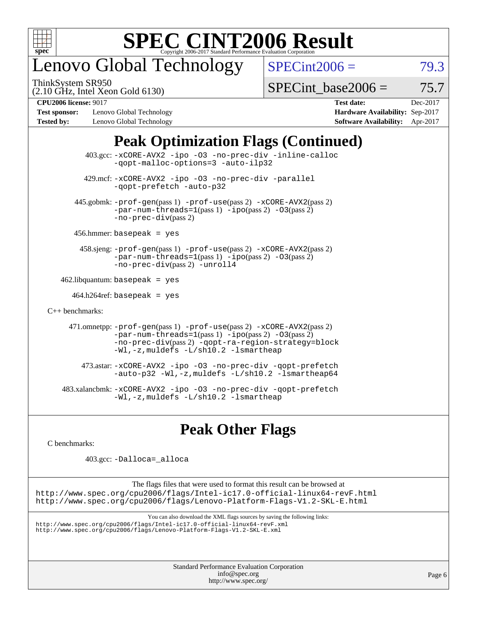

# enovo Global Technology

ThinkSystem SR950

 $SPECint2006 = 79.3$  $SPECint2006 = 79.3$ 

(2.10 GHz, Intel Xeon Gold 6130)

SPECint base2006 =  $75.7$ 

**[Test sponsor:](http://www.spec.org/auto/cpu2006/Docs/result-fields.html#Testsponsor)** Lenovo Global Technology **[Hardware Availability:](http://www.spec.org/auto/cpu2006/Docs/result-fields.html#HardwareAvailability)** Sep-2017 **[Tested by:](http://www.spec.org/auto/cpu2006/Docs/result-fields.html#Testedby)** Lenovo Global Technology **[Software Availability:](http://www.spec.org/auto/cpu2006/Docs/result-fields.html#SoftwareAvailability)** Apr-2017

**[CPU2006 license:](http://www.spec.org/auto/cpu2006/Docs/result-fields.html#CPU2006license)** 9017 **[Test date:](http://www.spec.org/auto/cpu2006/Docs/result-fields.html#Testdate)** Dec-2017

### **[Peak Optimization Flags \(Continued\)](http://www.spec.org/auto/cpu2006/Docs/result-fields.html#PeakOptimizationFlags)**

 403.gcc: [-xCORE-AVX2](http://www.spec.org/cpu2006/results/res2017q4/cpu2006-20171211-51042.flags.html#user_peakOPTIMIZE403_gcc_f-xCORE-AVX2) [-ipo](http://www.spec.org/cpu2006/results/res2017q4/cpu2006-20171211-51042.flags.html#user_peakOPTIMIZE403_gcc_f-ipo) [-O3](http://www.spec.org/cpu2006/results/res2017q4/cpu2006-20171211-51042.flags.html#user_peakOPTIMIZE403_gcc_f-O3) [-no-prec-div](http://www.spec.org/cpu2006/results/res2017q4/cpu2006-20171211-51042.flags.html#user_peakOPTIMIZE403_gcc_f-no-prec-div) [-inline-calloc](http://www.spec.org/cpu2006/results/res2017q4/cpu2006-20171211-51042.flags.html#user_peakCOPTIMIZE403_gcc_f-inline-calloc) [-qopt-malloc-options=3](http://www.spec.org/cpu2006/results/res2017q4/cpu2006-20171211-51042.flags.html#user_peakCOPTIMIZE403_gcc_f-qopt-malloc-options_0fcb435012e78f27d57f473818e45fe4) [-auto-ilp32](http://www.spec.org/cpu2006/results/res2017q4/cpu2006-20171211-51042.flags.html#user_peakCOPTIMIZE403_gcc_f-auto-ilp32) 429.mcf: [-xCORE-AVX2](http://www.spec.org/cpu2006/results/res2017q4/cpu2006-20171211-51042.flags.html#user_peakOPTIMIZE429_mcf_f-xCORE-AVX2) [-ipo](http://www.spec.org/cpu2006/results/res2017q4/cpu2006-20171211-51042.flags.html#user_peakOPTIMIZE429_mcf_f-ipo) [-O3](http://www.spec.org/cpu2006/results/res2017q4/cpu2006-20171211-51042.flags.html#user_peakOPTIMIZE429_mcf_f-O3) [-no-prec-div](http://www.spec.org/cpu2006/results/res2017q4/cpu2006-20171211-51042.flags.html#user_peakOPTIMIZE429_mcf_f-no-prec-div) [-parallel](http://www.spec.org/cpu2006/results/res2017q4/cpu2006-20171211-51042.flags.html#user_peakCOPTIMIZE429_mcf_f-parallel) [-qopt-prefetch](http://www.spec.org/cpu2006/results/res2017q4/cpu2006-20171211-51042.flags.html#user_peakCOPTIMIZE429_mcf_f-qopt-prefetch) [-auto-p32](http://www.spec.org/cpu2006/results/res2017q4/cpu2006-20171211-51042.flags.html#user_peakCOPTIMIZE429_mcf_f-auto-p32) 445.gobmk: [-prof-gen](http://www.spec.org/cpu2006/results/res2017q4/cpu2006-20171211-51042.flags.html#user_peakPASS1_CFLAGSPASS1_LDCFLAGS445_gobmk_prof_gen_e43856698f6ca7b7e442dfd80e94a8fc)(pass 1) [-prof-use](http://www.spec.org/cpu2006/results/res2017q4/cpu2006-20171211-51042.flags.html#user_peakPASS2_CFLAGSPASS2_LDCFLAGS445_gobmk_prof_use_bccf7792157ff70d64e32fe3e1250b55)(pass 2) [-xCORE-AVX2](http://www.spec.org/cpu2006/results/res2017q4/cpu2006-20171211-51042.flags.html#user_peakPASS2_CFLAGSPASS2_LDCFLAGS445_gobmk_f-xCORE-AVX2)(pass 2)  $-par-num-threads=1(pass 1) -ipo(pass 2) -O3(pass 2)$  $-par-num-threads=1(pass 1) -ipo(pass 2) -O3(pass 2)$  $-par-num-threads=1(pass 1) -ipo(pass 2) -O3(pass 2)$  $-par-num-threads=1(pass 1) -ipo(pass 2) -O3(pass 2)$  $-par-num-threads=1(pass 1) -ipo(pass 2) -O3(pass 2)$  $-par-num-threads=1(pass 1) -ipo(pass 2) -O3(pass 2)$ [-no-prec-div](http://www.spec.org/cpu2006/results/res2017q4/cpu2006-20171211-51042.flags.html#user_peakPASS2_CFLAGSPASS2_LDCFLAGS445_gobmk_f-no-prec-div)(pass 2) 456.hmmer: basepeak = yes 458.sjeng: [-prof-gen](http://www.spec.org/cpu2006/results/res2017q4/cpu2006-20171211-51042.flags.html#user_peakPASS1_CFLAGSPASS1_LDCFLAGS458_sjeng_prof_gen_e43856698f6ca7b7e442dfd80e94a8fc)(pass 1) [-prof-use](http://www.spec.org/cpu2006/results/res2017q4/cpu2006-20171211-51042.flags.html#user_peakPASS2_CFLAGSPASS2_LDCFLAGS458_sjeng_prof_use_bccf7792157ff70d64e32fe3e1250b55)(pass 2) [-xCORE-AVX2](http://www.spec.org/cpu2006/results/res2017q4/cpu2006-20171211-51042.flags.html#user_peakPASS2_CFLAGSPASS2_LDCFLAGS458_sjeng_f-xCORE-AVX2)(pass 2) [-par-num-threads=1](http://www.spec.org/cpu2006/results/res2017q4/cpu2006-20171211-51042.flags.html#user_peakPASS1_CFLAGSPASS1_LDCFLAGS458_sjeng_par_num_threads_786a6ff141b4e9e90432e998842df6c2)(pass 1) [-ipo](http://www.spec.org/cpu2006/results/res2017q4/cpu2006-20171211-51042.flags.html#user_peakPASS2_CFLAGSPASS2_LDCFLAGS458_sjeng_f-ipo)(pass 2) [-O3](http://www.spec.org/cpu2006/results/res2017q4/cpu2006-20171211-51042.flags.html#user_peakPASS2_CFLAGSPASS2_LDCFLAGS458_sjeng_f-O3)(pass 2) [-no-prec-div](http://www.spec.org/cpu2006/results/res2017q4/cpu2006-20171211-51042.flags.html#user_peakPASS2_CFLAGSPASS2_LDCFLAGS458_sjeng_f-no-prec-div)(pass 2) [-unroll4](http://www.spec.org/cpu2006/results/res2017q4/cpu2006-20171211-51042.flags.html#user_peakCOPTIMIZE458_sjeng_f-unroll_4e5e4ed65b7fd20bdcd365bec371b81f)  $462$ .libquantum: basepeak = yes  $464.h264$ ref: basepeak = yes [C++ benchmarks:](http://www.spec.org/auto/cpu2006/Docs/result-fields.html#CXXbenchmarks) 471.omnetpp: [-prof-gen](http://www.spec.org/cpu2006/results/res2017q4/cpu2006-20171211-51042.flags.html#user_peakPASS1_CXXFLAGSPASS1_LDCXXFLAGS471_omnetpp_prof_gen_e43856698f6ca7b7e442dfd80e94a8fc)(pass 1) [-prof-use](http://www.spec.org/cpu2006/results/res2017q4/cpu2006-20171211-51042.flags.html#user_peakPASS2_CXXFLAGSPASS2_LDCXXFLAGS471_omnetpp_prof_use_bccf7792157ff70d64e32fe3e1250b55)(pass 2) [-xCORE-AVX2](http://www.spec.org/cpu2006/results/res2017q4/cpu2006-20171211-51042.flags.html#user_peakPASS2_CXXFLAGSPASS2_LDCXXFLAGS471_omnetpp_f-xCORE-AVX2)(pass 2)  $-par-num-threads=1(pass 1) -ipo(pass 2) -O3(pass 2)$  $-par-num-threads=1(pass 1) -ipo(pass 2) -O3(pass 2)$  $-par-num-threads=1(pass 1) -ipo(pass 2) -O3(pass 2)$  $-par-num-threads=1(pass 1) -ipo(pass 2) -O3(pass 2)$  $-par-num-threads=1(pass 1) -ipo(pass 2) -O3(pass 2)$  $-par-num-threads=1(pass 1) -ipo(pass 2) -O3(pass 2)$ [-no-prec-div](http://www.spec.org/cpu2006/results/res2017q4/cpu2006-20171211-51042.flags.html#user_peakPASS2_CXXFLAGSPASS2_LDCXXFLAGS471_omnetpp_f-no-prec-div)(pass 2) [-qopt-ra-region-strategy=block](http://www.spec.org/cpu2006/results/res2017q4/cpu2006-20171211-51042.flags.html#user_peakCXXOPTIMIZE471_omnetpp_f-qopt-ra-region-strategy_0f7b543d62da454b380160c0e3b28f94) [-Wl,-z,muldefs](http://www.spec.org/cpu2006/results/res2017q4/cpu2006-20171211-51042.flags.html#user_peakEXTRA_LDFLAGS471_omnetpp_link_force_multiple1_74079c344b956b9658436fd1b6dd3a8a) [-L/sh10.2 -lsmartheap](http://www.spec.org/cpu2006/results/res2017q4/cpu2006-20171211-51042.flags.html#user_peakEXTRA_LIBS471_omnetpp_SmartHeap_b831f2d313e2fffa6dfe3f00ffc1f1c0) 473.astar: [-xCORE-AVX2](http://www.spec.org/cpu2006/results/res2017q4/cpu2006-20171211-51042.flags.html#user_peakOPTIMIZE473_astar_f-xCORE-AVX2) [-ipo](http://www.spec.org/cpu2006/results/res2017q4/cpu2006-20171211-51042.flags.html#user_peakOPTIMIZE473_astar_f-ipo) [-O3](http://www.spec.org/cpu2006/results/res2017q4/cpu2006-20171211-51042.flags.html#user_peakOPTIMIZE473_astar_f-O3) [-no-prec-div](http://www.spec.org/cpu2006/results/res2017q4/cpu2006-20171211-51042.flags.html#user_peakOPTIMIZE473_astar_f-no-prec-div) [-qopt-prefetch](http://www.spec.org/cpu2006/results/res2017q4/cpu2006-20171211-51042.flags.html#user_peakCXXOPTIMIZE473_astar_f-qopt-prefetch) [-auto-p32](http://www.spec.org/cpu2006/results/res2017q4/cpu2006-20171211-51042.flags.html#user_peakCXXOPTIMIZE473_astar_f-auto-p32) [-Wl,-z,muldefs](http://www.spec.org/cpu2006/results/res2017q4/cpu2006-20171211-51042.flags.html#user_peakEXTRA_LDFLAGS473_astar_link_force_multiple1_74079c344b956b9658436fd1b6dd3a8a) [-L/sh10.2 -lsmartheap64](http://www.spec.org/cpu2006/results/res2017q4/cpu2006-20171211-51042.flags.html#user_peakEXTRA_LIBS473_astar_SmartHeap64_63911d860fc08c15fa1d5bf319b9d8d5) 483.xalancbmk: [-xCORE-AVX2](http://www.spec.org/cpu2006/results/res2017q4/cpu2006-20171211-51042.flags.html#user_peakOPTIMIZE483_xalancbmk_f-xCORE-AVX2) [-ipo](http://www.spec.org/cpu2006/results/res2017q4/cpu2006-20171211-51042.flags.html#user_peakOPTIMIZE483_xalancbmk_f-ipo) [-O3](http://www.spec.org/cpu2006/results/res2017q4/cpu2006-20171211-51042.flags.html#user_peakOPTIMIZE483_xalancbmk_f-O3) [-no-prec-div](http://www.spec.org/cpu2006/results/res2017q4/cpu2006-20171211-51042.flags.html#user_peakOPTIMIZE483_xalancbmk_f-no-prec-div) [-qopt-prefetch](http://www.spec.org/cpu2006/results/res2017q4/cpu2006-20171211-51042.flags.html#user_peakCXXOPTIMIZE483_xalancbmk_f-qopt-prefetch) [-Wl,-z,muldefs](http://www.spec.org/cpu2006/results/res2017q4/cpu2006-20171211-51042.flags.html#user_peakEXTRA_LDFLAGS483_xalancbmk_link_force_multiple1_74079c344b956b9658436fd1b6dd3a8a) [-L/sh10.2 -lsmartheap](http://www.spec.org/cpu2006/results/res2017q4/cpu2006-20171211-51042.flags.html#user_peakEXTRA_LIBS483_xalancbmk_SmartHeap_b831f2d313e2fffa6dfe3f00ffc1f1c0)

### **[Peak Other Flags](http://www.spec.org/auto/cpu2006/Docs/result-fields.html#PeakOtherFlags)**

[C benchmarks](http://www.spec.org/auto/cpu2006/Docs/result-fields.html#Cbenchmarks):

403.gcc: [-Dalloca=\\_alloca](http://www.spec.org/cpu2006/results/res2017q4/cpu2006-20171211-51042.flags.html#b403.gcc_peakEXTRA_CFLAGS_Dalloca_be3056838c12de2578596ca5467af7f3)

The flags files that were used to format this result can be browsed at <http://www.spec.org/cpu2006/flags/Intel-ic17.0-official-linux64-revF.html> <http://www.spec.org/cpu2006/flags/Lenovo-Platform-Flags-V1.2-SKL-E.html>

You can also download the XML flags sources by saving the following links:

<http://www.spec.org/cpu2006/flags/Intel-ic17.0-official-linux64-revF.xml> <http://www.spec.org/cpu2006/flags/Lenovo-Platform-Flags-V1.2-SKL-E.xml>